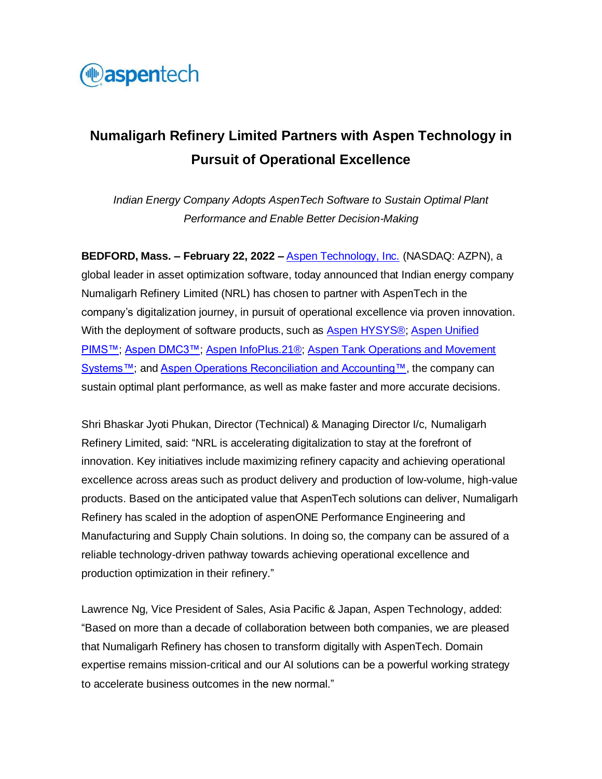

# **Numaligarh Refinery Limited Partners with Aspen Technology in Pursuit of Operational Excellence**

*Indian Energy Company Adopts AspenTech Software to Sustain Optimal Plant Performance and Enable Better Decision-Making*

**BEDFORD, Mass. – February 22, 2022 –** [Aspen Technology, Inc.](http://www.aspentech.com/) (NASDAQ: AZPN), a global leader in asset optimization software, today announced that Indian energy company Numaligarh Refinery Limited (NRL) has chosen to partner with AspenTech in the company's digitalization journey, in pursuit of operational excellence via proven innovation. With the deployment of software products, such as [Aspen HYSYS®;](https://www.aspentech.com/en/products/engineering/aspen-hysys) [Aspen Unified](https://www.aspentech.com/en/products/msc/aspen-unified-pims)  [PIMS™;](https://www.aspentech.com/en/products/msc/aspen-unified-pims) [Aspen DMC3™;](https://www.aspentech.com/en/products/msc/aspen-dmc3) [Aspen InfoPlus.21®;](https://www.aspentech.com/en/products/msc/aspen-infoplus21) [Aspen Tank Operations and Movement](https://www.aspentech.com/en/products/msc/aspen-tank-operations-and-movement-systems)  [Systems™;](https://www.aspentech.com/en/products/msc/aspen-tank-operations-and-movement-systems) an[d Aspen Operations Reconciliation and Accounting™,](https://www.aspentech.com/en/products/msc/aspen-operations-reconciliation-and-accounting) the company can sustain optimal plant performance, as well as make faster and more accurate decisions.

Shri Bhaskar Jyoti Phukan, Director (Technical) & Managing Director I/c, Numaligarh Refinery Limited, said: "NRL is accelerating digitalization to stay at the forefront of innovation. Key initiatives include maximizing refinery capacity and achieving operational excellence across areas such as product delivery and production of low-volume, high-value products. Based on the anticipated value that AspenTech solutions can deliver, Numaligarh Refinery has scaled in the adoption of aspenONE Performance Engineering and Manufacturing and Supply Chain solutions. In doing so, the company can be assured of a reliable technology-driven pathway towards achieving operational excellence and production optimization in their refinery."

Lawrence Ng, Vice President of Sales, Asia Pacific & Japan, Aspen Technology, added: "Based on more than a decade of collaboration between both companies, we are pleased that Numaligarh Refinery has chosen to transform digitally with AspenTech. Domain expertise remains mission-critical and our AI solutions can be a powerful working strategy to accelerate business outcomes in the new normal."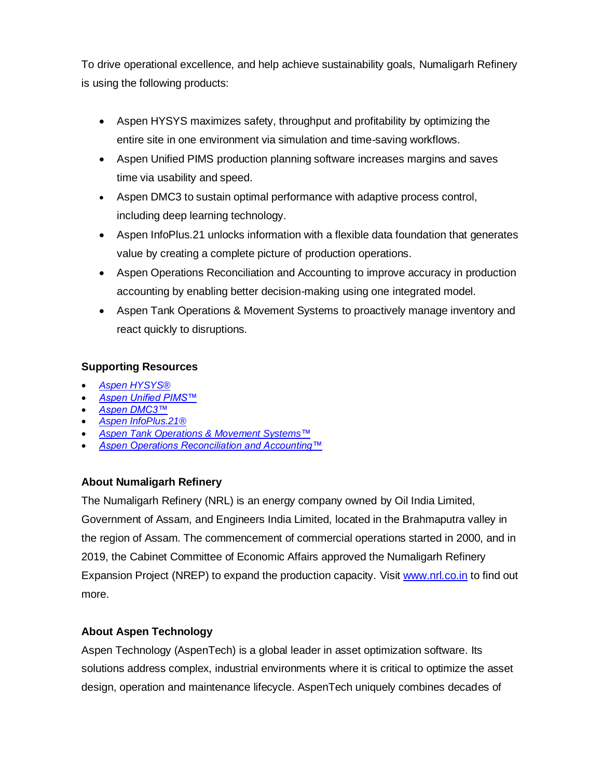To drive operational excellence, and help achieve sustainability goals, Numaligarh Refinery is using the following products:

- Aspen HYSYS maximizes safety, throughput and profitability by optimizing the entire site in one environment via simulation and time-saving workflows.
- Aspen Unified PIMS production planning software increases margins and saves time via usability and speed.
- Aspen DMC3 to sustain optimal performance with adaptive process control, including deep learning technology.
- Aspen InfoPlus.21 unlocks information with a flexible data foundation that generates value by creating a complete picture of production operations.
- Aspen Operations Reconciliation and Accounting to improve accuracy in production accounting by enabling better decision-making using one integrated model.
- Aspen Tank Operations & Movement Systems to proactively manage inventory and react quickly to disruptions.

## **Supporting Resources**

- *[Aspen HYSYS®](https://www.aspentech.com/en/products/engineering/aspen-hysys)*
- *[Aspen Unified PIMS™](https://www.aspentech.com/en/products/msc/aspen-unified-pims)*
- *[Aspen DMC3™](https://www.aspentech.com/en/products/msc/aspen-dmc3)*
- *[Aspen InfoPlus.21®](https://www.aspentech.com/en/products/msc/aspen-infoplus21)*
- *[Aspen Tank Operations & Movement Systems™](https://www.aspentech.com/en/products/msc/aspen-tank-operations-and-movement-systems)*
- *[Aspen Operations Reconciliation and Accounting™](https://www.aspentech.com/en/products/msc/aspen-operations-reconciliation-and-accounting)*

## **About Numaligarh Refinery**

The Numaligarh Refinery (NRL) is an energy company owned by Oil India Limited, Government of Assam, and Engineers India Limited, located in the Brahmaputra valley in the region of Assam. The commencement of commercial operations started in 2000, and in 2019, the Cabinet Committee of Economic Affairs approved the Numaligarh Refinery Expansion Project (NREP) to expand the production capacity. Visit [www.nrl.co.in](http://www.nrl.co.in/) to find out more.

## **About Aspen Technology**

Aspen Technology (AspenTech) is a global leader in asset optimization software. Its solutions address complex, industrial environments where it is critical to optimize the asset design, operation and maintenance lifecycle. AspenTech uniquely combines decades of